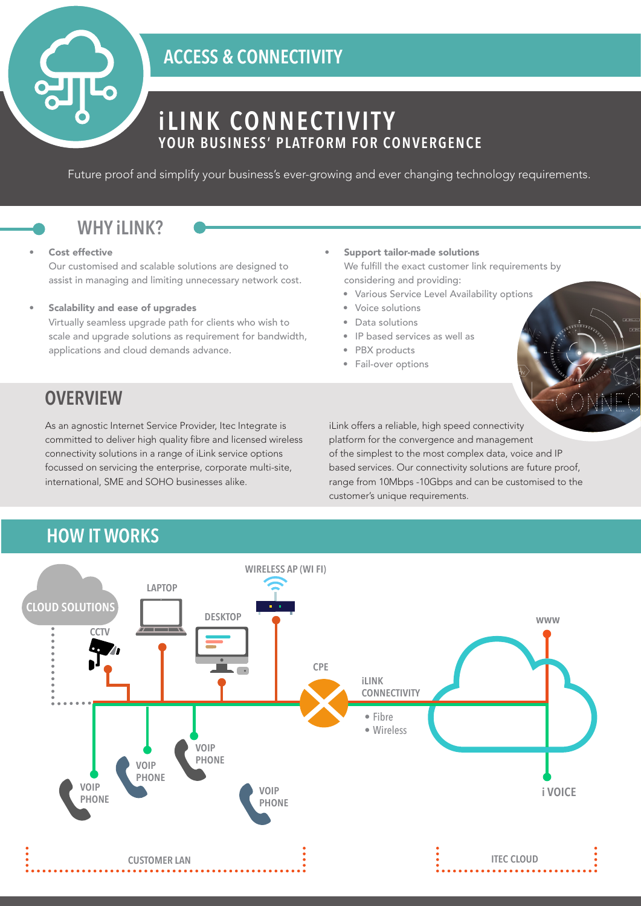## **ACCESS & CONNECTIVITY**

## **iLINK CONNECTIVITY YOUR BUSINESS' PLATFORM FOR CONVERGENCE**

Future proof and simplify your business's ever-growing and ever changing technology requirements.

## **WHY iLINK?**

### Cost effective

Our customised and scalable solutions are designed to assist in managing and limiting unnecessary network cost.

Scalability and ease of upgrades

Virtually seamless upgrade path for clients who wish to scale and upgrade solutions as requirement for bandwidth, applications and cloud demands advance.

- Support tailor-made solutions We fulfill the exact customer link requirements by considering and providing:
	- Various Service Level Availability options
	- Voice solutions
	- Data solutions
	- IP based services as well as
	- PBX products
	- Fail-over options

## **OVERVIEW**

As an agnostic Internet Service Provider, Itec Integrate is committed to deliver high quality fibre and licensed wireless connectivity solutions in a range of iLink service options focussed on servicing the enterprise, corporate multi-site, international, SME and SOHO businesses alike.

iLink offers a reliable, high speed connectivity platform for the convergence and management of the simplest to the most complex data, voice and IP based services. Our connectivity solutions are future proof, range from 10Mbps -10Gbps and can be customised to the customer's unique requirements.

## **HOW IT WORKS**

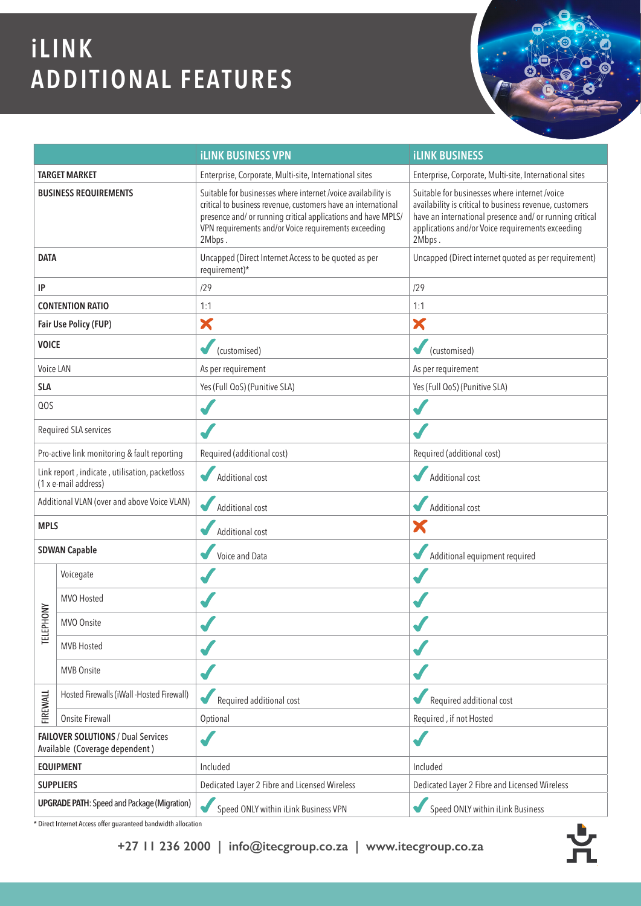# **iLINK ADDITIONAL FEATURES**



\* Direct Internet Access offer guaranteed bandwidth allocation